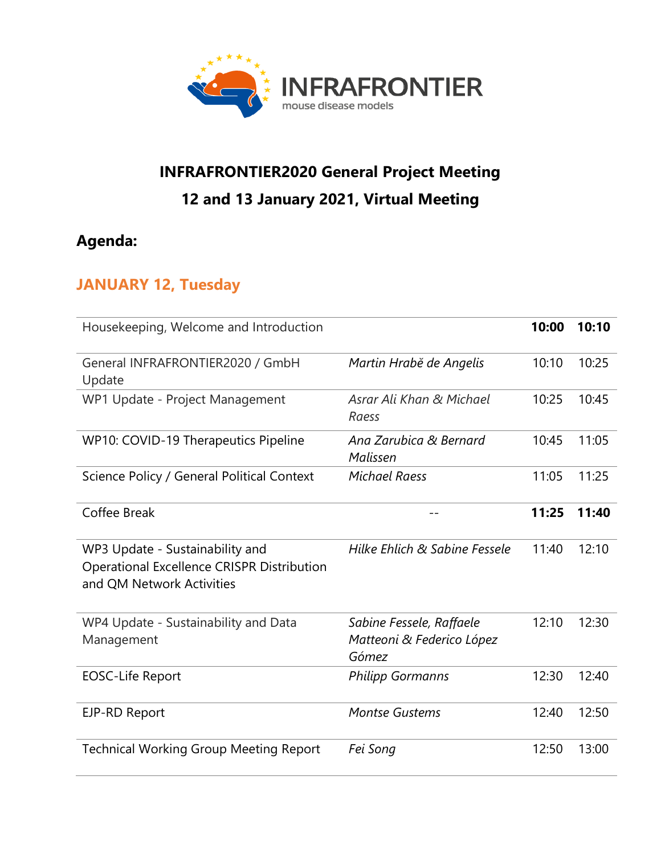

## **INFRAFRONTIER2020 General Project Meeting 12 and 13 January 2021, Virtual Meeting**

## **Agenda:**

## **JANUARY 12, Tuesday**

| Housekeeping, Welcome and Introduction                                                                     |                                                                | 10:00 | 10:10 |
|------------------------------------------------------------------------------------------------------------|----------------------------------------------------------------|-------|-------|
| General INFRAFRONTIER2020 / GmbH<br>Update                                                                 | Martin Hrabě de Angelis                                        | 10:10 | 10:25 |
| WP1 Update - Project Management                                                                            | Asrar Ali Khan & Michael<br>Raess                              | 10:25 | 10:45 |
| WP10: COVID-19 Therapeutics Pipeline                                                                       | Ana Zarubica & Bernard<br>Malissen                             | 10:45 | 11:05 |
| Science Policy / General Political Context                                                                 | <b>Michael Raess</b>                                           | 11:05 | 11:25 |
| Coffee Break                                                                                               |                                                                | 11:25 | 11:40 |
| WP3 Update - Sustainability and<br>Operational Excellence CRISPR Distribution<br>and QM Network Activities | Hilke Ehlich & Sabine Fessele                                  | 11:40 | 12:10 |
| WP4 Update - Sustainability and Data<br>Management                                                         | Sabine Fessele, Raffaele<br>Matteoni & Federico López<br>Gómez | 12:10 | 12:30 |
| <b>EOSC-Life Report</b>                                                                                    | <b>Philipp Gormanns</b>                                        | 12:30 | 12:40 |
| EJP-RD Report                                                                                              | <b>Montse Gustems</b>                                          | 12:40 | 12:50 |
| <b>Technical Working Group Meeting Report</b>                                                              | Fei Song                                                       | 12:50 | 13:00 |